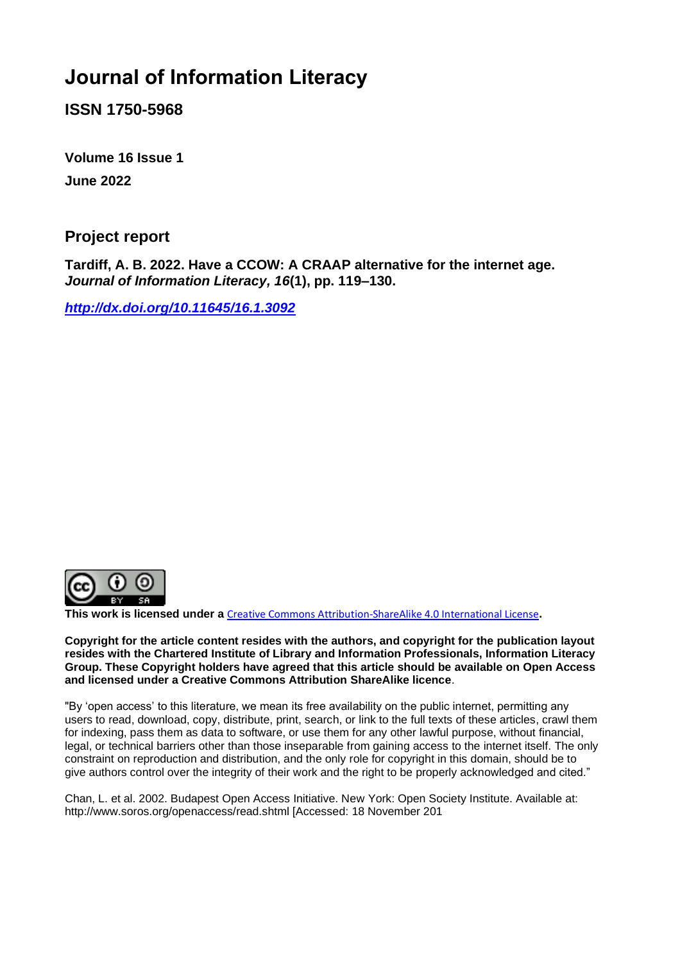# **Journal of Information Literacy**

**ISSN 1750-5968**

**Volume 16 Issue 1 June 2022**

#### **Project report**

**Tardiff, A. B. 2022. Have a CCOW: A CRAAP alternative for the internet age.**  *Journal of Information Literacy, 16***(1), pp. 119–130.**

*<http://dx.doi.org/10.11645/16.1.3092>*



**This work is licensed under a** [Creative Commons Attribution-ShareAlike 4.0 International License](http://creativecommons.org/licenses/by-sa/4.0/)**.**

**Copyright for the article content resides with the authors, and copyright for the publication layout resides with the Chartered Institute of Library and Information Professionals, Information Literacy Group. These Copyright holders have agreed that this article should be available on Open Access and licensed under a Creative Commons Attribution ShareAlike licence**.

"By 'open access' to this literature, we mean its free availability on the public internet, permitting any users to read, download, copy, distribute, print, search, or link to the full texts of these articles, crawl them for indexing, pass them as data to software, or use them for any other lawful purpose, without financial, legal, or technical barriers other than those inseparable from gaining access to the internet itself. The only constraint on reproduction and distribution, and the only role for copyright in this domain, should be to give authors control over the integrity of their work and the right to be properly acknowledged and cited."

Chan, L. et al. 2002. Budapest Open Access Initiative. New York: Open Society Institute. Available at: http://www.soros.org/openaccess/read.shtml [Accessed: 18 November 201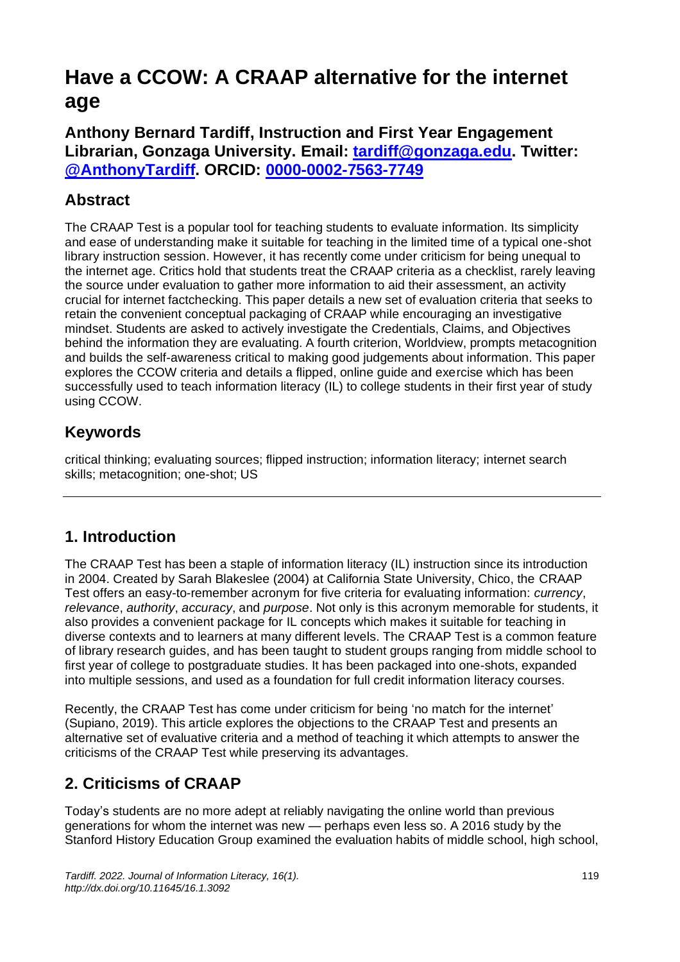# **Have a CCOW: A CRAAP alternative for the internet age**

**Anthony Bernard Tardiff, Instruction and First Year Engagement Librarian, Gonzaga University. Email: [tardiff@gonzaga.edu.](mailto:tardiff@gonzaga.edu) Twitter: [@AnthonyTardiff.](https://twitter.com/anthonytardiff) ORCID: [0000-0002-7563-7749](https://orcid.org/0000-0002-7563-7749)**

## **Abstract**

The CRAAP Test is a popular tool for teaching students to evaluate information. Its simplicity and ease of understanding make it suitable for teaching in the limited time of a typical one-shot library instruction session. However, it has recently come under criticism for being unequal to the internet age. Critics hold that students treat the CRAAP criteria as a checklist, rarely leaving the source under evaluation to gather more information to aid their assessment, an activity crucial for internet factchecking. This paper details a new set of evaluation criteria that seeks to retain the convenient conceptual packaging of CRAAP while encouraging an investigative mindset. Students are asked to actively investigate the Credentials, Claims, and Objectives behind the information they are evaluating. A fourth criterion, Worldview, prompts metacognition and builds the self-awareness critical to making good judgements about information. This paper explores the CCOW criteria and details a flipped, online guide and exercise which has been successfully used to teach information literacy (IL) to college students in their first year of study using CCOW.

# **Keywords**

critical thinking; evaluating sources; flipped instruction; information literacy; internet search skills; metacognition; one-shot; US

## **1. Introduction**

The CRAAP Test has been a staple of information literacy (IL) instruction since its introduction in 2004. Created by Sarah Blakeslee (2004) at California State University, Chico, the CRAAP Test offers an easy-to-remember acronym for five criteria for evaluating information: *currency*, *relevance*, *authority*, *accuracy*, and *purpose*. Not only is this acronym memorable for students, it also provides a convenient package for IL concepts which makes it suitable for teaching in diverse contexts and to learners at many different levels. The CRAAP Test is a common feature of library research guides, and has been taught to student groups ranging from middle school to first year of college to postgraduate studies. It has been packaged into one-shots, expanded into multiple sessions, and used as a foundation for full credit information literacy courses.

Recently, the CRAAP Test has come under criticism for being 'no match for the internet' (Supiano, 2019). This article explores the objections to the CRAAP Test and presents an alternative set of evaluative criteria and a method of teaching it which attempts to answer the criticisms of the CRAAP Test while preserving its advantages.

# **2. Criticisms of CRAAP**

Today's students are no more adept at reliably navigating the online world than previous generations for whom the internet was new — perhaps even less so. A 2016 study by the Stanford History Education Group examined the evaluation habits of middle school, high school,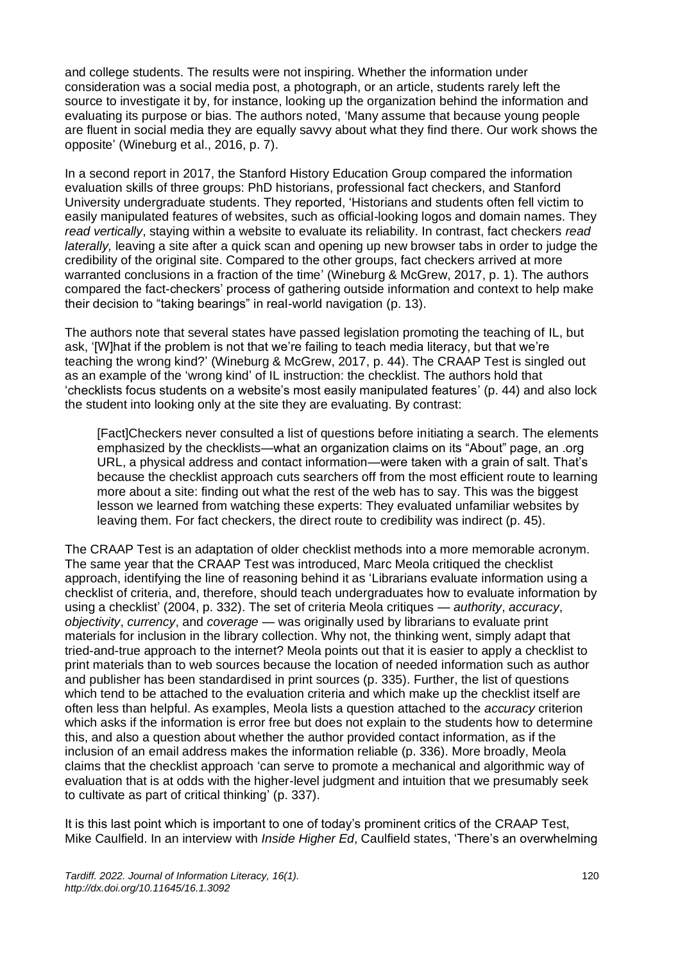and college students. The results were not inspiring. Whether the information under consideration was a social media post, a photograph, or an article, students rarely left the source to investigate it by, for instance, looking up the organization behind the information and evaluating its purpose or bias. The authors noted, 'Many assume that because young people are fluent in social media they are equally savvy about what they find there. Our work shows the opposite' (Wineburg et al., 2016, p. 7).

In a second report in 2017, the Stanford History Education Group compared the information evaluation skills of three groups: PhD historians, professional fact checkers, and Stanford University undergraduate students. They reported, 'Historians and students often fell victim to easily manipulated features of websites, such as official-looking logos and domain names. They *read vertically*, staying within a website to evaluate its reliability. In contrast, fact checkers *read laterally,* leaving a site after a quick scan and opening up new browser tabs in order to judge the credibility of the original site. Compared to the other groups, fact checkers arrived at more warranted conclusions in a fraction of the time' (Wineburg & McGrew, 2017, p. 1). The authors compared the fact-checkers' process of gathering outside information and context to help make their decision to "taking bearings" in real-world navigation (p. 13).

The authors note that several states have passed legislation promoting the teaching of IL, but ask, '[W]hat if the problem is not that we're failing to teach media literacy, but that we're teaching the wrong kind?' (Wineburg & McGrew, 2017, p. 44). The CRAAP Test is singled out as an example of the 'wrong kind' of IL instruction: the checklist. The authors hold that 'checklists focus students on a website's most easily manipulated features' (p. 44) and also lock the student into looking only at the site they are evaluating. By contrast:

[Fact]Checkers never consulted a list of questions before initiating a search. The elements emphasized by the checklists—what an organization claims on its "About" page, an .org URL, a physical address and contact information—were taken with a grain of salt. That's because the checklist approach cuts searchers off from the most efficient route to learning more about a site: finding out what the rest of the web has to say. This was the biggest lesson we learned from watching these experts: They evaluated unfamiliar websites by leaving them. For fact checkers, the direct route to credibility was indirect (p. 45).

The CRAAP Test is an adaptation of older checklist methods into a more memorable acronym. The same year that the CRAAP Test was introduced, Marc Meola critiqued the checklist approach, identifying the line of reasoning behind it as 'Librarians evaluate information using a checklist of criteria, and, therefore, should teach undergraduates how to evaluate information by using a checklist' (2004, p. 332). The set of criteria Meola critiques — *authority*, *accuracy*, *objectivity*, *currency*, and *coverage* — was originally used by librarians to evaluate print materials for inclusion in the library collection. Why not, the thinking went, simply adapt that tried-and-true approach to the internet? Meola points out that it is easier to apply a checklist to print materials than to web sources because the location of needed information such as author and publisher has been standardised in print sources (p. 335). Further, the list of questions which tend to be attached to the evaluation criteria and which make up the checklist itself are often less than helpful. As examples, Meola lists a question attached to the *accuracy* criterion which asks if the information is error free but does not explain to the students how to determine this, and also a question about whether the author provided contact information, as if the inclusion of an email address makes the information reliable (p. 336). More broadly, Meola claims that the checklist approach 'can serve to promote a mechanical and algorithmic way of evaluation that is at odds with the higher-level judgment and intuition that we presumably seek to cultivate as part of critical thinking' (p. 337).

It is this last point which is important to one of today's prominent critics of the CRAAP Test, Mike Caulfield. In an interview with *Inside Higher Ed*, Caulfield states, 'There's an overwhelming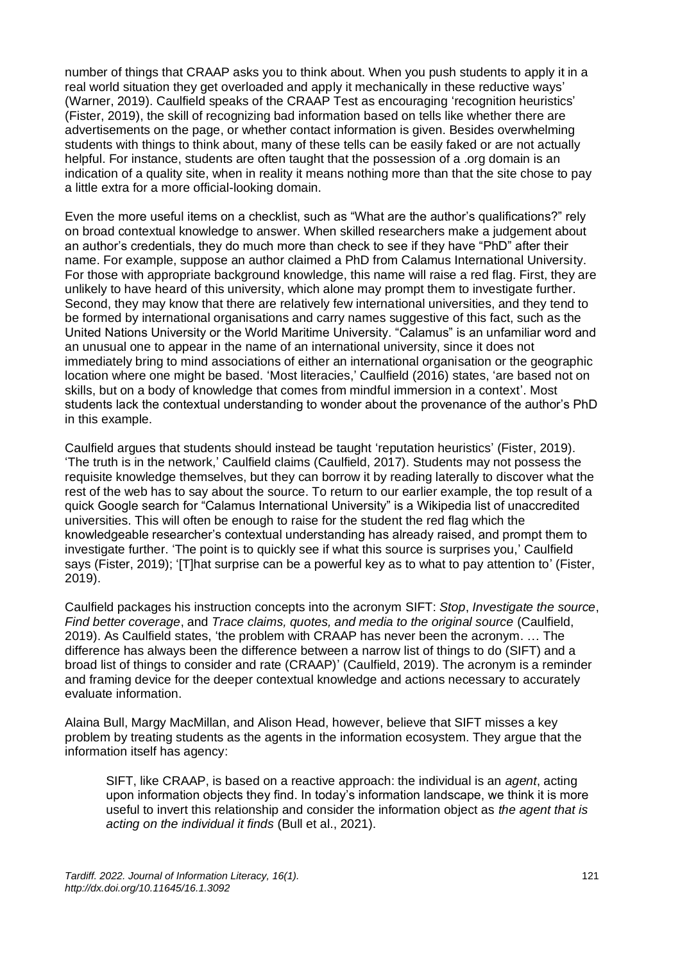number of things that CRAAP asks you to think about. When you push students to apply it in a real world situation they get overloaded and apply it mechanically in these reductive ways' (Warner, 2019). Caulfield speaks of the CRAAP Test as encouraging 'recognition heuristics' (Fister, 2019), the skill of recognizing bad information based on tells like whether there are advertisements on the page, or whether contact information is given. Besides overwhelming students with things to think about, many of these tells can be easily faked or are not actually helpful. For instance, students are often taught that the possession of a .org domain is an indication of a quality site, when in reality it means nothing more than that the site chose to pay a little extra for a more official-looking domain.

Even the more useful items on a checklist, such as "What are the author's qualifications?" rely on broad contextual knowledge to answer. When skilled researchers make a judgement about an author's credentials, they do much more than check to see if they have "PhD" after their name. For example, suppose an author claimed a PhD from Calamus International University. For those with appropriate background knowledge, this name will raise a red flag. First, they are unlikely to have heard of this university, which alone may prompt them to investigate further. Second, they may know that there are relatively few international universities, and they tend to be formed by international organisations and carry names suggestive of this fact, such as the United Nations University or the World Maritime University. "Calamus" is an unfamiliar word and an unusual one to appear in the name of an international university, since it does not immediately bring to mind associations of either an international organisation or the geographic location where one might be based. 'Most literacies,' Caulfield (2016) states, 'are based not on skills, but on a body of knowledge that comes from mindful immersion in a context'. Most students lack the contextual understanding to wonder about the provenance of the author's PhD in this example.

Caulfield argues that students should instead be taught 'reputation heuristics' (Fister, 2019). 'The truth is in the network,' Caulfield claims (Caulfield, 2017). Students may not possess the requisite knowledge themselves, but they can borrow it by reading laterally to discover what the rest of the web has to say about the source. To return to our earlier example, the top result of a quick Google search for "Calamus International University" is a Wikipedia list of unaccredited universities. This will often be enough to raise for the student the red flag which the knowledgeable researcher's contextual understanding has already raised, and prompt them to investigate further. 'The point is to quickly see if what this source is surprises you,' Caulfield says (Fister, 2019); '[T]hat surprise can be a powerful key as to what to pay attention to' (Fister, 2019).

Caulfield packages his instruction concepts into the acronym SIFT: *Stop*, *Investigate the source*, *Find better coverage*, and *Trace claims, quotes, and media to the original source* (Caulfield, 2019). As Caulfield states, 'the problem with CRAAP has never been the acronym. … The difference has always been the difference between a narrow list of things to do (SIFT) and a broad list of things to consider and rate (CRAAP)' (Caulfield, 2019). The acronym is a reminder and framing device for the deeper contextual knowledge and actions necessary to accurately evaluate information.

Alaina Bull, Margy MacMillan, and Alison Head, however, believe that SIFT misses a key problem by treating students as the agents in the information ecosystem. They argue that the information itself has agency:

SIFT, like CRAAP, is based on a reactive approach: the individual is an *agent*, acting upon information objects they find. In today's information landscape, we think it is more useful to invert this relationship and consider the information object as *the agent that is acting on the individual it finds* (Bull et al., 2021).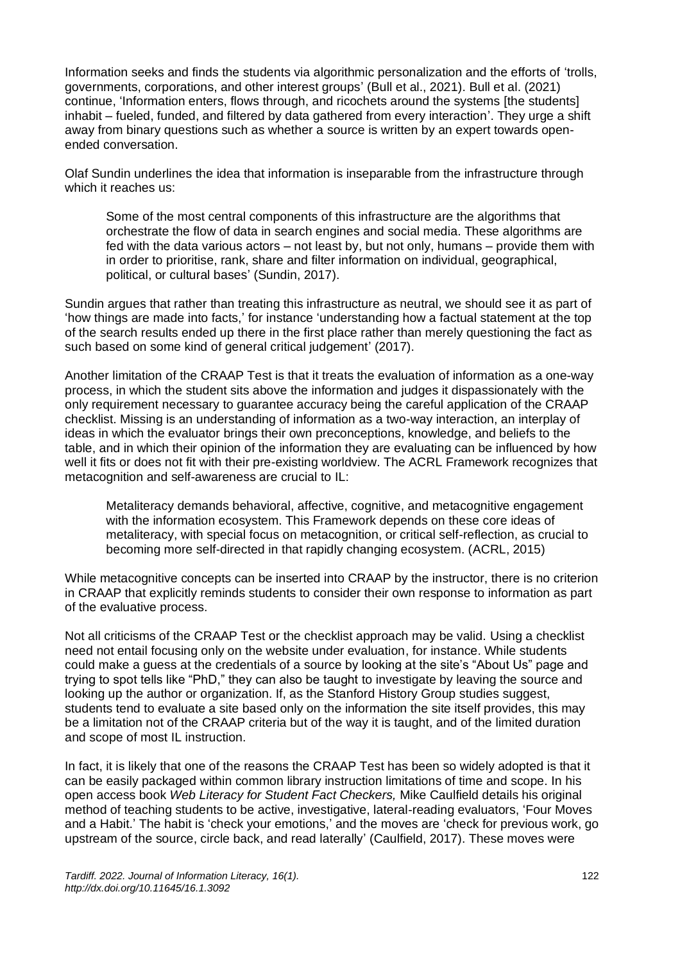Information seeks and finds the students via algorithmic personalization and the efforts of 'trolls, governments, corporations, and other interest groups' (Bull et al., 2021). Bull et al. (2021) continue, 'Information enters, flows through, and ricochets around the systems [the students] inhabit – fueled, funded, and filtered by data gathered from every interaction'. They urge a shift away from binary questions such as whether a source is written by an expert towards openended conversation.

Olaf Sundin underlines the idea that information is inseparable from the infrastructure through which it reaches us:

Some of the most central components of this infrastructure are the algorithms that orchestrate the flow of data in search engines and social media. These algorithms are fed with the data various actors – not least by, but not only, humans – provide them with in order to prioritise, rank, share and filter information on individual, geographical, political, or cultural bases' (Sundin, 2017).

Sundin argues that rather than treating this infrastructure as neutral, we should see it as part of 'how things are made into facts,' for instance 'understanding how a factual statement at the top of the search results ended up there in the first place rather than merely questioning the fact as such based on some kind of general critical judgement' (2017).

Another limitation of the CRAAP Test is that it treats the evaluation of information as a one-way process, in which the student sits above the information and judges it dispassionately with the only requirement necessary to guarantee accuracy being the careful application of the CRAAP checklist. Missing is an understanding of information as a two-way interaction, an interplay of ideas in which the evaluator brings their own preconceptions, knowledge, and beliefs to the table, and in which their opinion of the information they are evaluating can be influenced by how well it fits or does not fit with their pre-existing worldview. The ACRL Framework recognizes that metacognition and self-awareness are crucial to IL:

Metaliteracy demands behavioral, affective, cognitive, and metacognitive engagement with the information ecosystem. This Framework depends on these core ideas of metaliteracy, with special focus on metacognition, or critical self-reflection, as crucial to becoming more self-directed in that rapidly changing ecosystem. (ACRL, 2015)

While metacognitive concepts can be inserted into CRAAP by the instructor, there is no criterion in CRAAP that explicitly reminds students to consider their own response to information as part of the evaluative process.

Not all criticisms of the CRAAP Test or the checklist approach may be valid. Using a checklist need not entail focusing only on the website under evaluation, for instance. While students could make a guess at the credentials of a source by looking at the site's "About Us" page and trying to spot tells like "PhD," they can also be taught to investigate by leaving the source and looking up the author or organization. If, as the Stanford History Group studies suggest, students tend to evaluate a site based only on the information the site itself provides, this may be a limitation not of the CRAAP criteria but of the way it is taught, and of the limited duration and scope of most IL instruction.

In fact, it is likely that one of the reasons the CRAAP Test has been so widely adopted is that it can be easily packaged within common library instruction limitations of time and scope. In his open access book *Web Literacy for Student Fact Checkers,* Mike Caulfield details his original method of teaching students to be active, investigative, lateral-reading evaluators, 'Four Moves and a Habit.' The habit is 'check your emotions,' and the moves are 'check for previous work, go upstream of the source, circle back, and read laterally' (Caulfield, 2017). These moves were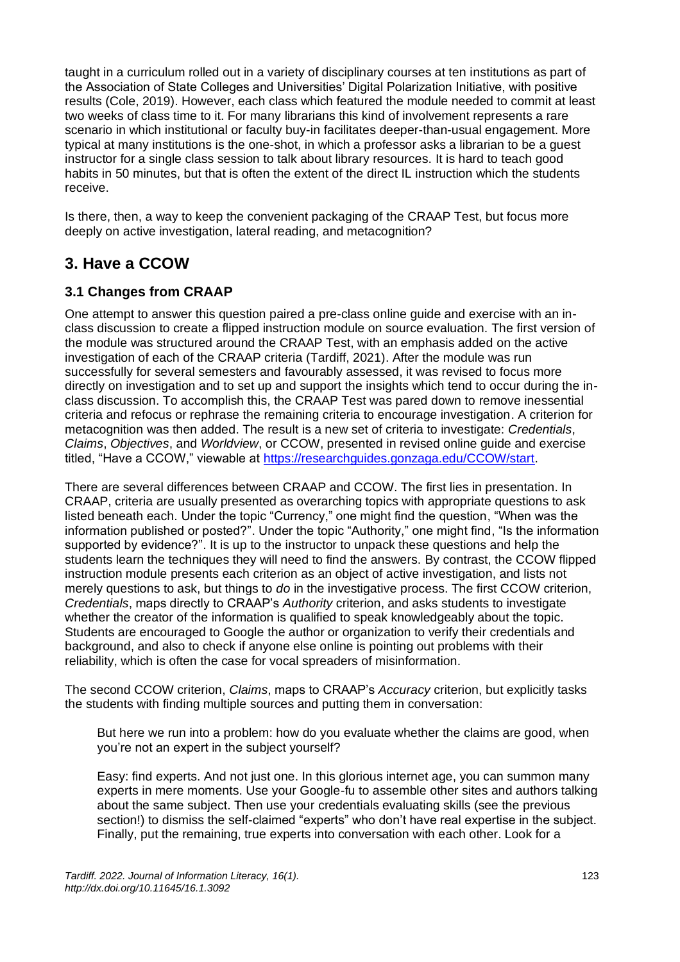taught in a curriculum rolled out in a variety of disciplinary courses at ten institutions as part of the Association of State Colleges and Universities' Digital Polarization Initiative, with positive results (Cole, 2019). However, each class which featured the module needed to commit at least two weeks of class time to it. For many librarians this kind of involvement represents a rare scenario in which institutional or faculty buy-in facilitates deeper-than-usual engagement. More typical at many institutions is the one-shot, in which a professor asks a librarian to be a guest instructor for a single class session to talk about library resources. It is hard to teach good habits in 50 minutes, but that is often the extent of the direct IL instruction which the students receive.

Is there, then, a way to keep the convenient packaging of the CRAAP Test, but focus more deeply on active investigation, lateral reading, and metacognition?

## **3. Have a CCOW**

#### **3.1 Changes from CRAAP**

One attempt to answer this question paired a pre-class online guide and exercise with an inclass discussion to create a flipped instruction module on source evaluation. The first version of the module was structured around the CRAAP Test, with an emphasis added on the active investigation of each of the CRAAP criteria (Tardiff, 2021). After the module was run successfully for several semesters and favourably assessed, it was revised to focus more directly on investigation and to set up and support the insights which tend to occur during the inclass discussion. To accomplish this, the CRAAP Test was pared down to remove inessential criteria and refocus or rephrase the remaining criteria to encourage investigation. A criterion for metacognition was then added. The result is a new set of criteria to investigate: *Credentials*, *Claims*, *Objectives*, and *Worldview*, or CCOW, presented in revised online guide and exercise titled, "Have a CCOW," viewable at [https://researchguides.gonzaga.edu/CCOW/start.](https://researchguides.gonzaga.edu/CCOW/start)

There are several differences between CRAAP and CCOW. The first lies in presentation. In CRAAP, criteria are usually presented as overarching topics with appropriate questions to ask listed beneath each. Under the topic "Currency," one might find the question, "When was the information published or posted?". Under the topic "Authority," one might find, "Is the information supported by evidence?". It is up to the instructor to unpack these questions and help the students learn the techniques they will need to find the answers. By contrast, the CCOW flipped instruction module presents each criterion as an object of active investigation, and lists not merely questions to ask, but things to *do* in the investigative process. The first CCOW criterion, *Credentials*, maps directly to CRAAP's *Authority* criterion, and asks students to investigate whether the creator of the information is qualified to speak knowledgeably about the topic. Students are encouraged to Google the author or organization to verify their credentials and background, and also to check if anyone else online is pointing out problems with their reliability, which is often the case for vocal spreaders of misinformation.

The second CCOW criterion, *Claims*, maps to CRAAP's *Accuracy* criterion, but explicitly tasks the students with finding multiple sources and putting them in conversation:

But here we run into a problem: how do you evaluate whether the claims are good, when you're not an expert in the subject yourself?

Easy: find experts. And not just one. In this glorious internet age, you can summon many experts in mere moments. Use your Google-fu to assemble other sites and authors talking about the same subject. Then use your credentials evaluating skills (see the previous section!) to dismiss the self-claimed "experts" who don't have real expertise in the subject. Finally, put the remaining, true experts into conversation with each other. Look for a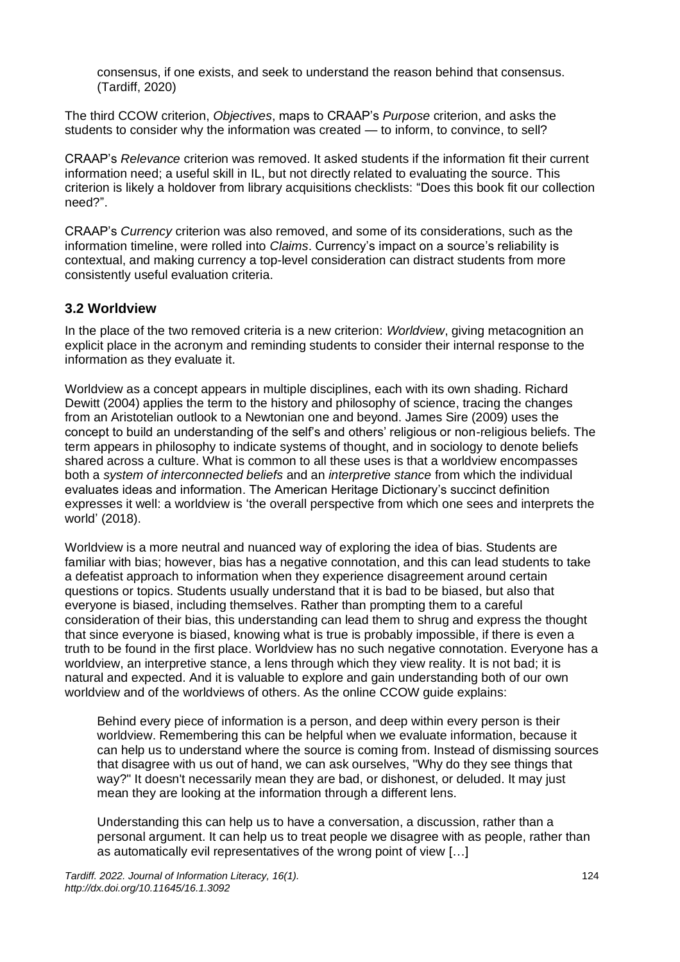consensus, if one exists, and seek to understand the reason behind that consensus. (Tardiff, 2020)

The third CCOW criterion, *Objectives*, maps to CRAAP's *Purpose* criterion, and asks the students to consider why the information was created — to inform, to convince, to sell?

CRAAP's *Relevance* criterion was removed. It asked students if the information fit their current information need; a useful skill in IL, but not directly related to evaluating the source. This criterion is likely a holdover from library acquisitions checklists: "Does this book fit our collection need?".

CRAAP's *Currency* criterion was also removed, and some of its considerations, such as the information timeline, were rolled into *Claims*. Currency's impact on a source's reliability is contextual, and making currency a top-level consideration can distract students from more consistently useful evaluation criteria.

#### **3.2 Worldview**

In the place of the two removed criteria is a new criterion: *Worldview*, giving metacognition an explicit place in the acronym and reminding students to consider their internal response to the information as they evaluate it.

Worldview as a concept appears in multiple disciplines, each with its own shading. Richard Dewitt (2004) applies the term to the history and philosophy of science, tracing the changes from an Aristotelian outlook to a Newtonian one and beyond. James Sire (2009) uses the concept to build an understanding of the self's and others' religious or non-religious beliefs. The term appears in philosophy to indicate systems of thought, and in sociology to denote beliefs shared across a culture. What is common to all these uses is that a worldview encompasses both a *system of interconnected beliefs* and an *interpretive stance* from which the individual evaluates ideas and information. The American Heritage Dictionary's succinct definition expresses it well: a worldview is 'the overall perspective from which one sees and interprets the world' (2018).

Worldview is a more neutral and nuanced way of exploring the idea of bias. Students are familiar with bias; however, bias has a negative connotation, and this can lead students to take a defeatist approach to information when they experience disagreement around certain questions or topics. Students usually understand that it is bad to be biased, but also that everyone is biased, including themselves. Rather than prompting them to a careful consideration of their bias, this understanding can lead them to shrug and express the thought that since everyone is biased, knowing what is true is probably impossible, if there is even a truth to be found in the first place. Worldview has no such negative connotation. Everyone has a worldview, an interpretive stance, a lens through which they view reality. It is not bad; it is natural and expected. And it is valuable to explore and gain understanding both of our own worldview and of the worldviews of others. As the online CCOW guide explains:

Behind every piece of information is a person, and deep within every person is their worldview. Remembering this can be helpful when we evaluate information, because it can help us to understand where the source is coming from. Instead of dismissing sources that disagree with us out of hand, we can ask ourselves, "Why do they see things that way?" It doesn't necessarily mean they are bad, or dishonest, or deluded. It may just mean they are looking at the information through a different lens.

Understanding this can help us to have a conversation, a discussion, rather than a personal argument. It can help us to treat people we disagree with as people, rather than as automatically evil representatives of the wrong point of view […]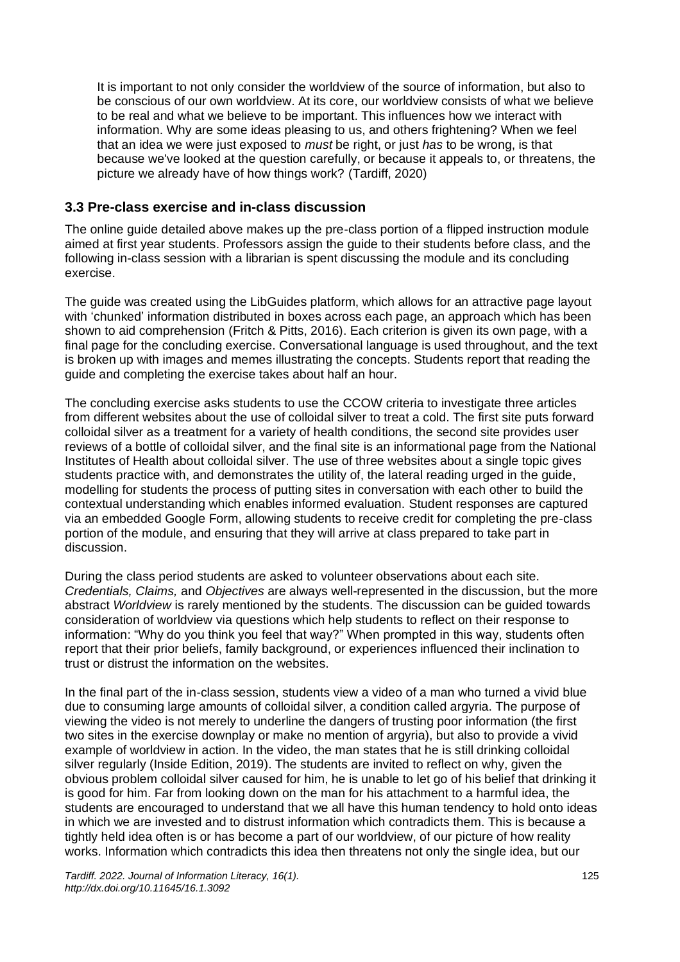It is important to not only consider the worldview of the source of information, but also to be conscious of our own worldview. At its core, our worldview consists of what we believe to be real and what we believe to be important. This influences how we interact with information. Why are some ideas pleasing to us, and others frightening? When we feel that an idea we were just exposed to *must* be right, or just *has* to be wrong, is that because we've looked at the question carefully, or because it appeals to, or threatens, the picture we already have of how things work? (Tardiff, 2020)

#### **3.3 Pre-class exercise and in-class discussion**

The online guide detailed above makes up the pre-class portion of a flipped instruction module aimed at first year students. Professors assign the guide to their students before class, and the following in-class session with a librarian is spent discussing the module and its concluding exercise.

The guide was created using the LibGuides platform, which allows for an attractive page layout with 'chunked' information distributed in boxes across each page, an approach which has been shown to aid comprehension (Fritch & Pitts, 2016). Each criterion is given its own page, with a final page for the concluding exercise. Conversational language is used throughout, and the text is broken up with images and memes illustrating the concepts. Students report that reading the guide and completing the exercise takes about half an hour.

The concluding exercise asks students to use the CCOW criteria to investigate three articles from different websites about the use of colloidal silver to treat a cold. The first site puts forward colloidal silver as a treatment for a variety of health conditions, the second site provides user reviews of a bottle of colloidal silver, and the final site is an informational page from the National Institutes of Health about colloidal silver. The use of three websites about a single topic gives students practice with, and demonstrates the utility of, the lateral reading urged in the guide, modelling for students the process of putting sites in conversation with each other to build the contextual understanding which enables informed evaluation. Student responses are captured via an embedded Google Form, allowing students to receive credit for completing the pre-class portion of the module, and ensuring that they will arrive at class prepared to take part in discussion.

During the class period students are asked to volunteer observations about each site. *Credentials, Claims,* and *Objectives* are always well-represented in the discussion, but the more abstract *Worldview* is rarely mentioned by the students. The discussion can be guided towards consideration of worldview via questions which help students to reflect on their response to information: "Why do you think you feel that way?" When prompted in this way, students often report that their prior beliefs, family background, or experiences influenced their inclination to trust or distrust the information on the websites.

In the final part of the in-class session, students view a video of a man who turned a vivid blue due to consuming large amounts of colloidal silver, a condition called argyria. The purpose of viewing the video is not merely to underline the dangers of trusting poor information (the first two sites in the exercise downplay or make no mention of argyria), but also to provide a vivid example of worldview in action. In the video, the man states that he is still drinking colloidal silver regularly (Inside Edition, 2019). The students are invited to reflect on why, given the obvious problem colloidal silver caused for him, he is unable to let go of his belief that drinking it is good for him. Far from looking down on the man for his attachment to a harmful idea, the students are encouraged to understand that we all have this human tendency to hold onto ideas in which we are invested and to distrust information which contradicts them. This is because a tightly held idea often is or has become a part of our worldview, of our picture of how reality works. Information which contradicts this idea then threatens not only the single idea, but our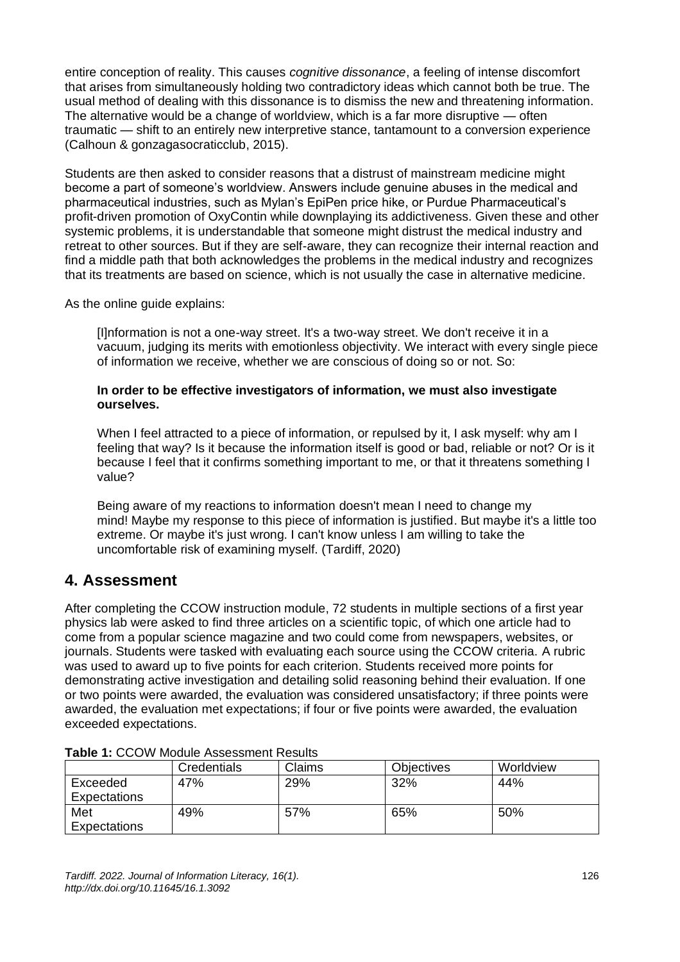entire conception of reality. This causes *cognitive dissonance*, a feeling of intense discomfort that arises from simultaneously holding two contradictory ideas which cannot both be true. The usual method of dealing with this dissonance is to dismiss the new and threatening information. The alternative would be a change of worldview, which is a far more disruptive — often traumatic — shift to an entirely new interpretive stance, tantamount to a conversion experience (Calhoun & gonzagasocraticclub, 2015).

Students are then asked to consider reasons that a distrust of mainstream medicine might become a part of someone's worldview. Answers include genuine abuses in the medical and pharmaceutical industries, such as Mylan's EpiPen price hike, or Purdue Pharmaceutical's profit-driven promotion of OxyContin while downplaying its addictiveness. Given these and other systemic problems, it is understandable that someone might distrust the medical industry and retreat to other sources. But if they are self-aware, they can recognize their internal reaction and find a middle path that both acknowledges the problems in the medical industry and recognizes that its treatments are based on science, which is not usually the case in alternative medicine.

As the online guide explains:

[I]nformation is not a one-way street. It's a two-way street. We don't receive it in a vacuum, judging its merits with emotionless objectivity. We interact with every single piece of information we receive, whether we are conscious of doing so or not. So:

#### **In order to be effective investigators of information, we must also investigate ourselves.**

When I feel attracted to a piece of information, or repulsed by it, I ask myself: why am I feeling that way? Is it because the information itself is good or bad, reliable or not? Or is it because I feel that it confirms something important to me, or that it threatens something I value?

Being aware of my reactions to information doesn't mean I need to change my mind! Maybe my response to this piece of information is justified. But maybe it's a little too extreme. Or maybe it's just wrong. I can't know unless I am willing to take the uncomfortable risk of examining myself. (Tardiff, 2020)

## **4. Assessment**

After completing the CCOW instruction module, 72 students in multiple sections of a first year physics lab were asked to find three articles on a scientific topic, of which one article had to come from a popular science magazine and two could come from newspapers, websites, or journals. Students were tasked with evaluating each source using the CCOW criteria. A rubric was used to award up to five points for each criterion. Students received more points for demonstrating active investigation and detailing solid reasoning behind their evaluation. If one or two points were awarded, the evaluation was considered unsatisfactory; if three points were awarded, the evaluation met expectations; if four or five points were awarded, the evaluation exceeded expectations.

| Table T. OOOTT MOUUIG A33633111611LT\630113 |             |        |                   |           |  |  |
|---------------------------------------------|-------------|--------|-------------------|-----------|--|--|
|                                             | Credentials | Claims | <b>Objectives</b> | Worldview |  |  |
| Exceeded<br>Expectations                    | 47%         | 29%    | 32%               | 44%       |  |  |
| Met                                         | 49%         | 57%    | 65%               | 50%       |  |  |
| Expectations                                |             |        |                   |           |  |  |

#### **Table 1:** CCOW Module Assessment Results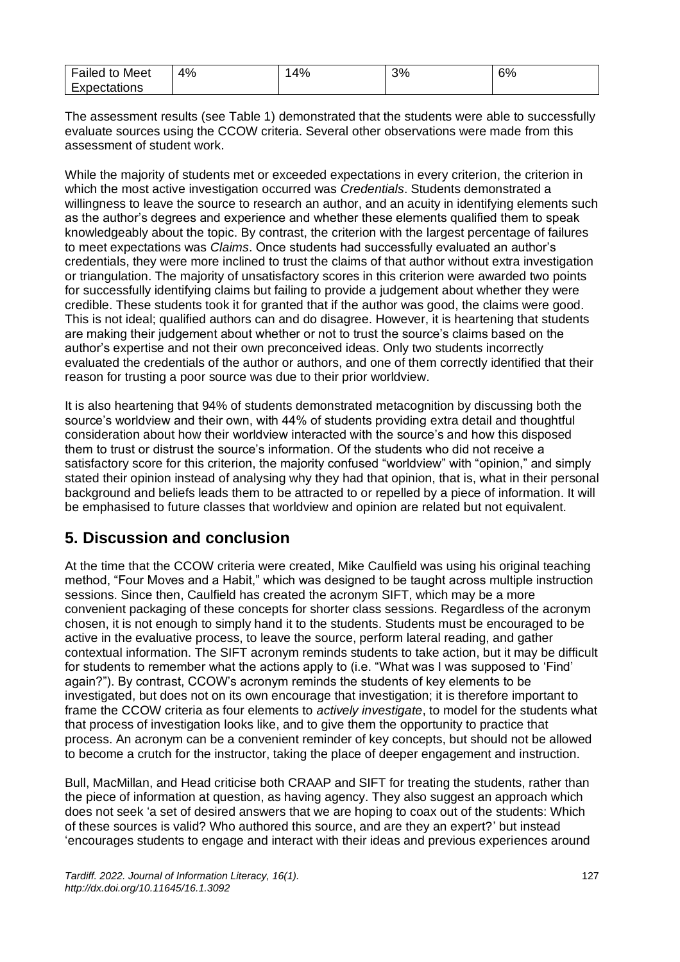| $\overline{\phantom{0}}$<br>Meet<br>Failed<br>to | 4% | 4% | 3% | 6% |
|--------------------------------------------------|----|----|----|----|
| -xpectations                                     |    |    |    |    |

The assessment results (see Table 1) demonstrated that the students were able to successfully evaluate sources using the CCOW criteria. Several other observations were made from this assessment of student work.

While the majority of students met or exceeded expectations in every criterion, the criterion in which the most active investigation occurred was *Credentials*. Students demonstrated a willingness to leave the source to research an author, and an acuity in identifying elements such as the author's degrees and experience and whether these elements qualified them to speak knowledgeably about the topic. By contrast, the criterion with the largest percentage of failures to meet expectations was *Claims*. Once students had successfully evaluated an author's credentials, they were more inclined to trust the claims of that author without extra investigation or triangulation. The majority of unsatisfactory scores in this criterion were awarded two points for successfully identifying claims but failing to provide a judgement about whether they were credible. These students took it for granted that if the author was good, the claims were good. This is not ideal; qualified authors can and do disagree. However, it is heartening that students are making their judgement about whether or not to trust the source's claims based on the author's expertise and not their own preconceived ideas. Only two students incorrectly evaluated the credentials of the author or authors, and one of them correctly identified that their reason for trusting a poor source was due to their prior worldview.

It is also heartening that 94% of students demonstrated metacognition by discussing both the source's worldview and their own, with 44% of students providing extra detail and thoughtful consideration about how their worldview interacted with the source's and how this disposed them to trust or distrust the source's information. Of the students who did not receive a satisfactory score for this criterion, the majority confused "worldview" with "opinion," and simply stated their opinion instead of analysing why they had that opinion, that is, what in their personal background and beliefs leads them to be attracted to or repelled by a piece of information. It will be emphasised to future classes that worldview and opinion are related but not equivalent.

## **5. Discussion and conclusion**

At the time that the CCOW criteria were created, Mike Caulfield was using his original teaching method, "Four Moves and a Habit," which was designed to be taught across multiple instruction sessions. Since then, Caulfield has created the acronym SIFT, which may be a more convenient packaging of these concepts for shorter class sessions. Regardless of the acronym chosen, it is not enough to simply hand it to the students. Students must be encouraged to be active in the evaluative process, to leave the source, perform lateral reading, and gather contextual information. The SIFT acronym reminds students to take action, but it may be difficult for students to remember what the actions apply to (i.e. "What was I was supposed to 'Find' again?"). By contrast, CCOW's acronym reminds the students of key elements to be investigated, but does not on its own encourage that investigation; it is therefore important to frame the CCOW criteria as four elements to *actively investigate*, to model for the students what that process of investigation looks like, and to give them the opportunity to practice that process. An acronym can be a convenient reminder of key concepts, but should not be allowed to become a crutch for the instructor, taking the place of deeper engagement and instruction.

Bull, MacMillan, and Head criticise both CRAAP and SIFT for treating the students, rather than the piece of information at question, as having agency. They also suggest an approach which does not seek 'a set of desired answers that we are hoping to coax out of the students: Which of these sources is valid? Who authored this source, and are they an expert?' but instead 'encourages students to engage and interact with their ideas and previous experiences around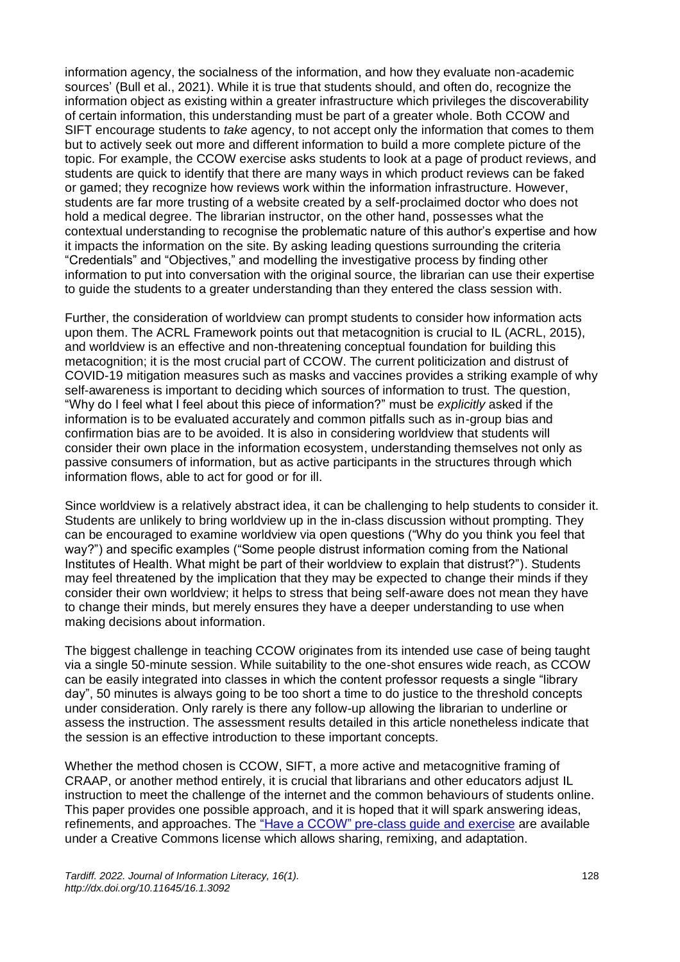information agency, the socialness of the information, and how they evaluate non-academic sources' (Bull et al., 2021). While it is true that students should, and often do, recognize the information object as existing within a greater infrastructure which privileges the discoverability of certain information, this understanding must be part of a greater whole. Both CCOW and SIFT encourage students to *take* agency, to not accept only the information that comes to them but to actively seek out more and different information to build a more complete picture of the topic. For example, the CCOW exercise asks students to look at a page of product reviews, and students are quick to identify that there are many ways in which product reviews can be faked or gamed; they recognize how reviews work within the information infrastructure. However, students are far more trusting of a website created by a self-proclaimed doctor who does not hold a medical degree. The librarian instructor, on the other hand, possesses what the contextual understanding to recognise the problematic nature of this author's expertise and how it impacts the information on the site. By asking leading questions surrounding the criteria "Credentials" and "Objectives," and modelling the investigative process by finding other information to put into conversation with the original source, the librarian can use their expertise to guide the students to a greater understanding than they entered the class session with.

Further, the consideration of worldview can prompt students to consider how information acts upon them. The ACRL Framework points out that metacognition is crucial to IL (ACRL, 2015), and worldview is an effective and non-threatening conceptual foundation for building this metacognition; it is the most crucial part of CCOW. The current politicization and distrust of COVID-19 mitigation measures such as masks and vaccines provides a striking example of why self-awareness is important to deciding which sources of information to trust. The question, "Why do I feel what I feel about this piece of information?" must be *explicitly* asked if the information is to be evaluated accurately and common pitfalls such as in-group bias and confirmation bias are to be avoided. It is also in considering worldview that students will consider their own place in the information ecosystem, understanding themselves not only as passive consumers of information, but as active participants in the structures through which information flows, able to act for good or for ill.

Since worldview is a relatively abstract idea, it can be challenging to help students to consider it. Students are unlikely to bring worldview up in the in-class discussion without prompting. They can be encouraged to examine worldview via open questions ("Why do you think you feel that way?") and specific examples ("Some people distrust information coming from the National Institutes of Health. What might be part of their worldview to explain that distrust?"). Students may feel threatened by the implication that they may be expected to change their minds if they consider their own worldview; it helps to stress that being self-aware does not mean they have to change their minds, but merely ensures they have a deeper understanding to use when making decisions about information.

The biggest challenge in teaching CCOW originates from its intended use case of being taught via a single 50-minute session. While suitability to the one-shot ensures wide reach, as CCOW can be easily integrated into classes in which the content professor requests a single "library day", 50 minutes is always going to be too short a time to do justice to the threshold concepts under consideration. Only rarely is there any follow-up allowing the librarian to underline or assess the instruction. The assessment results detailed in this article nonetheless indicate that the session is an effective introduction to these important concepts.

Whether the method chosen is CCOW, SIFT, a more active and metacognitive framing of CRAAP, or another method entirely, it is crucial that librarians and other educators adjust IL instruction to meet the challenge of the internet and the common behaviours of students online. This paper provides one possible approach, and it is hoped that it will spark answering ideas, refinements, and approaches. The ["Have a CCOW" pre-class guide and exercise](https://researchguides.gonzaga.edu/CCOW) are available under a Creative Commons license which allows sharing, remixing, and adaptation.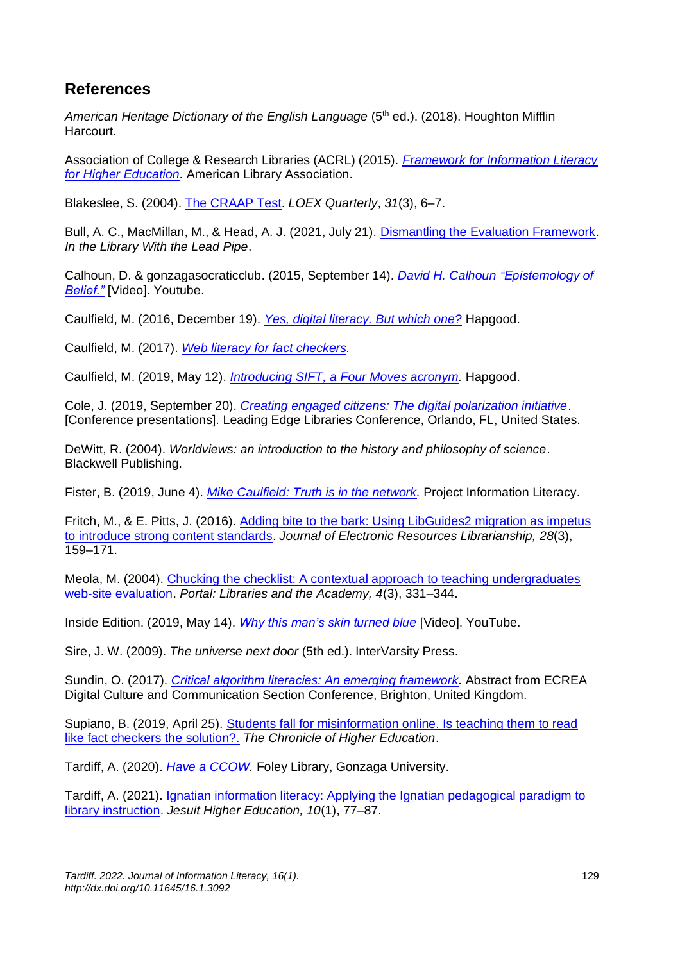### **References**

*American Heritage Dictionary of the English Language* (5<sup>th</sup> ed.). (2018). Houghton Mifflin Harcourt.

Association of College & Research Libraries (ACRL) (2015). *[Framework for Information Literacy](https://www.ala.org/acrl/standards/ilframework)  [for Higher Education.](https://www.ala.org/acrl/standards/ilframework)* American Library Association.

Blakeslee, S. (2004). [The CRAAP Test.](https://commons.emich.edu/loexquarterly/vol31/iss3/4/) *LOEX Quarterly*, *31*(3), 6–7.

Bull, A. C., MacMillan, M., & Head, A. J. (2021, July 21). [Dismantling the Evaluation Framework.](https://www.inthelibrarywiththeleadpipe.org/2021/dismantling-evaluation/) *In the Library With the Lead Pipe*.

Calhoun, D. & gonzagasocraticclub. (2015, September 14). *[David H. Calhoun](https://www.youtube.com/watch?v=DBVkhTcMHIQ) "Epistemology of [Belief."](https://www.youtube.com/watch?v=DBVkhTcMHIQ)* [Video]. Youtube.

Caulfield, M. (2016, December 19). *[Yes, digital literacy. But which one?](https://hapgood.us/2016/12/19/yes-digital-literacy-but-which-one/)* Hapgood.

Caulfield, M. (2017). *[Web literacy for fact checkers.](https://webliteracy.pressbooks.com/chapter/four-strategies/)*

Caulfield, M. (2019, May 12). *[Introducing SIFT, a Four Moves acronym.](https://hapgood.us/2019/05/12/sift-and-a-check-please-preview/)* Hapgood.

Cole, J. (2019, September 20). *[Creating engaged citizens: The digital polarization initiative](https://higherlogicdownload.s3.amazonaws.com/SLA/f5e7f943-851e-4cdb-943d-ed924d975081/UploadedImages/FloridaCaribbean/2019_presentations/Engaged_Citizens_Leading_Edge.pdf)*. [Conference presentations]. Leading Edge Libraries Conference, Orlando, FL, United States.

DeWitt, R. (2004). *Worldviews: an introduction to the history and philosophy of science*. Blackwell Publishing.

Fister, B. (2019, June 4). *[Mike Caulfield: Truth is in the network.](https://projectinfolit.org/smart-talk-interviews/truth-is-in-the-network/)* Project Information Literacy.

Fritch, M., & E. Pitts, J. (2016). [Adding bite to the bark: Using LibGuides2 migration as impetus](https://doi.org/10.1080/1941126X.2016.1200926)  [to introduce strong content standards.](https://doi.org/10.1080/1941126X.2016.1200926) *Journal of Electronic Resources Librarianship, 28*(3), 159–171.

Meola, M. (2004). [Chucking the checklist: A contextual approach to teaching undergraduates](https://doi.org/10.1353/pla.2004.0055)  [web-site evaluation.](https://doi.org/10.1353/pla.2004.0055) *Portal: Libraries and the Academy, 4*(3), 331–344.

Inside Edition. (2019, May 14). *[Why this man's skin turned blue](https://www.youtube.com/watch?v=GDz75iaSW2s)* [Video]. YouTube.

Sire, J. W. (2009). *The universe next door* (5th ed.). InterVarsity Press.

Sundin, O. (2017). *[Critical algorithm literacies: An emerging framework.](https://dccecrea.wordpress.com/digitalculture-meets-data-critical-approaches-extended-abstracts/olof-sundin-critical-algorithm-literacies-an-emergingframework/)* Abstract from ECREA Digital Culture and Communication Section Conference, Brighton, United Kingdom.

Supiano, B. (2019, April 25). Students fall for misinformation online. Is teaching them to read [like fact checkers the solution?.](https://www.chronicle.com/article/Students-Fall-for/246190) *The Chronicle of Higher Education*.

Tardiff, A. (2020). *[Have a CCOW.](https://researchguides.gonzaga.edu/ccow)* Foley Library, Gonzaga University.

Tardiff, A. (2021). [Ignatian information literacy: Applying the Ignatian pedagogical paradigm to](https://epublications.regis.edu/jhe/vol10/iss1/8)  [library instruction.](https://epublications.regis.edu/jhe/vol10/iss1/8) *Jesuit Higher Education, 10*(1), 77–87.